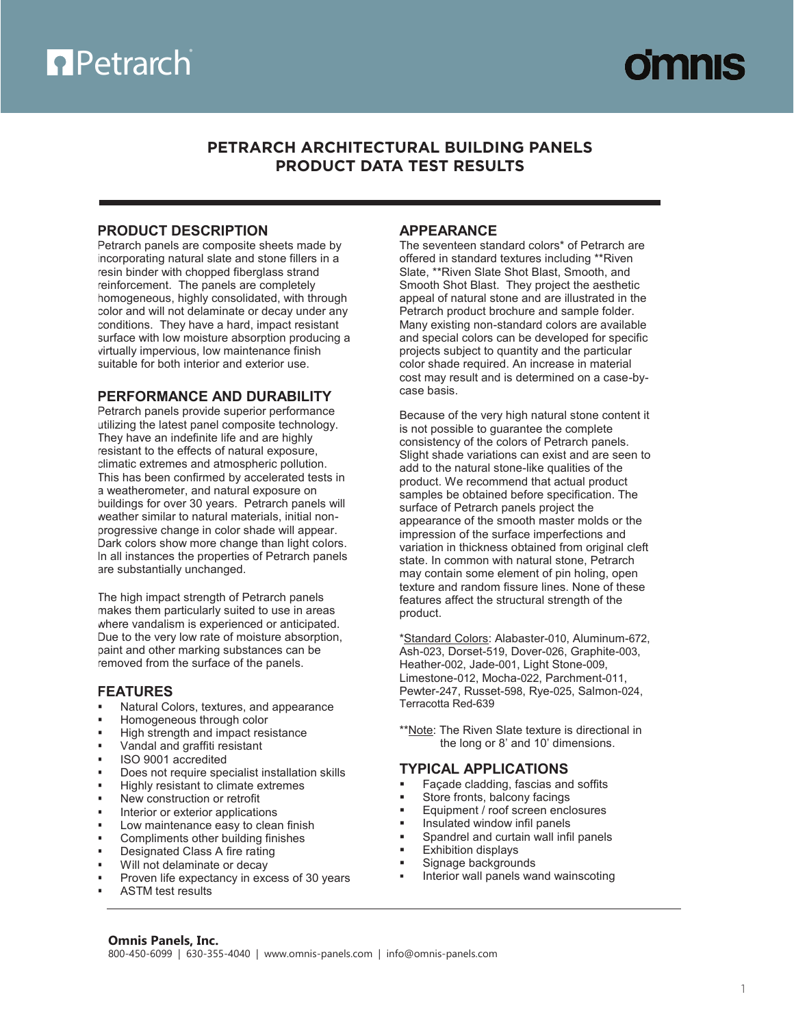

## **PETRARCH ARCHITECTURAL BUILDING PANELS Property TEST RESULTS**

#### (800) 450-6099 | (630-6099) 355-4040 | (630-6099) \RCH ARCHITECTURAL BUILD **PRODUCT DATA TEST RESULTS PETRARCH ARCHITECTURAL BUILDING PANELS PRODUCT DATA TEST RESULTS**

**Omnis Panels, Inc.** | Architectural Building Panels

## **PRODUCT DESCRIPTION**

Petrarch panels are composite sheets made by incorporating natural slate and stone fillers in a resin binder with chopped fiberglass strand reinforcement. The panels are completely homogeneous, highly consolidated, with through color and will not delaminate or decay under any conditions. They have a hard, impact resistant surface with low moisture absorption producing a virtually impervious, low maintenance finish suitable for both interior and exterior use.

## **PERFORMANCE AND DURABILITY**

Petrarch panels provide superior performance utilizing the latest panel composite technology. They have an indefinite life and are highly resistant to the effects of natural exposure, climatic extremes and atmospheric pollution. This has been confirmed by accelerated tests in a weatherometer, and natural exposure on buildings for over 30 years. Petrarch panels will weather similar to natural materials, initial nonprogressive change in color shade will appear. Dark colors show more change than light colors. In all instances the properties of Petrarch panels are substantially unchanged.

The high impact strength of Petrarch panels makes them particularly suited to use in areas where vandalism is experienced or anticipated. Due to the very low rate of moisture absorption, paint and other marking substances can be removed from the surface of the panels.

## **FEATURES**

- Natural Colors, textures, and appearance
- Homogeneous through color
- High strength and impact resistance
- Vandal and graffiti resistant
- ISO 9001 accredited
- Does not require specialist installation skills
- Highly resistant to climate extremes
- New construction or retrofit
- Interior or exterior applications
- Low maintenance easy to clean finish
- Compliments other building finishes
- Designated Class A fire rating
- Will not delaminate or decay
- Proven life expectancy in excess of 30 years
- ASTM test results

## **APPEARANCE**

**PETRARCH ARCHITECTURAL BUILDING PANELS**

The seventeen standard colors\* of Petrarch are offered in standard textures including \*\*Riven Slate, \*\*Riven Slate Shot Blast, Smooth, and Smooth Shot Blast. They project the aesthetic appeal of natural stone and are illustrated in the Petrarch product brochure and sample folder. Many existing non-standard colors are available and special colors can be developed for specific projects subject to quantity and the particular color shade required. An increase in material cost may result and is determined on a case-bycase basis.

Because of the very high natural stone content it is not possible to guarantee the complete consistency of the colors of Petrarch panels. Slight shade variations can exist and are seen to add to the natural stone-like qualities of the product. We recommend that actual product samples be obtained before specification. The surface of Petrarch panels project the appearance of the smooth master molds or the impression of the surface imperfections and variation in thickness obtained from original cleft state. In common with natural stone, Petrarch may contain some element of pin holing, open texture and random fissure lines. None of these features affect the structural strength of the product.

\*Standard Colors: Alabaster-010, Aluminum-672, Ash-023, Dorset-519, Dover-026, Graphite-003, Heather-002, Jade-001, Light Stone-009, Limestone-012, Mocha-022, Parchment-011, Pewter-247, Russet-598, Rye-025, Salmon-024, Terracotta Red-639

\*\*Note: The Riven Slate texture is directional in the long or 8' and 10' dimensions.

#### **TYPICAL APPLICATIONS**

- Façade cladding, fascias and soffits
- Store fronts, balcony facings
- Equipment / roof screen enclosures
- Insulated window infil panels
- Spandrel and curtain wall infil panels
- Exhibition displays
- Signage backgrounds
- Interior wall panels wand wainscoting

#### **Omnis Panels, Inc.** 800-450-6099 | 630-355-4040 | www.omnis-panels.com | info@omnis-panels.com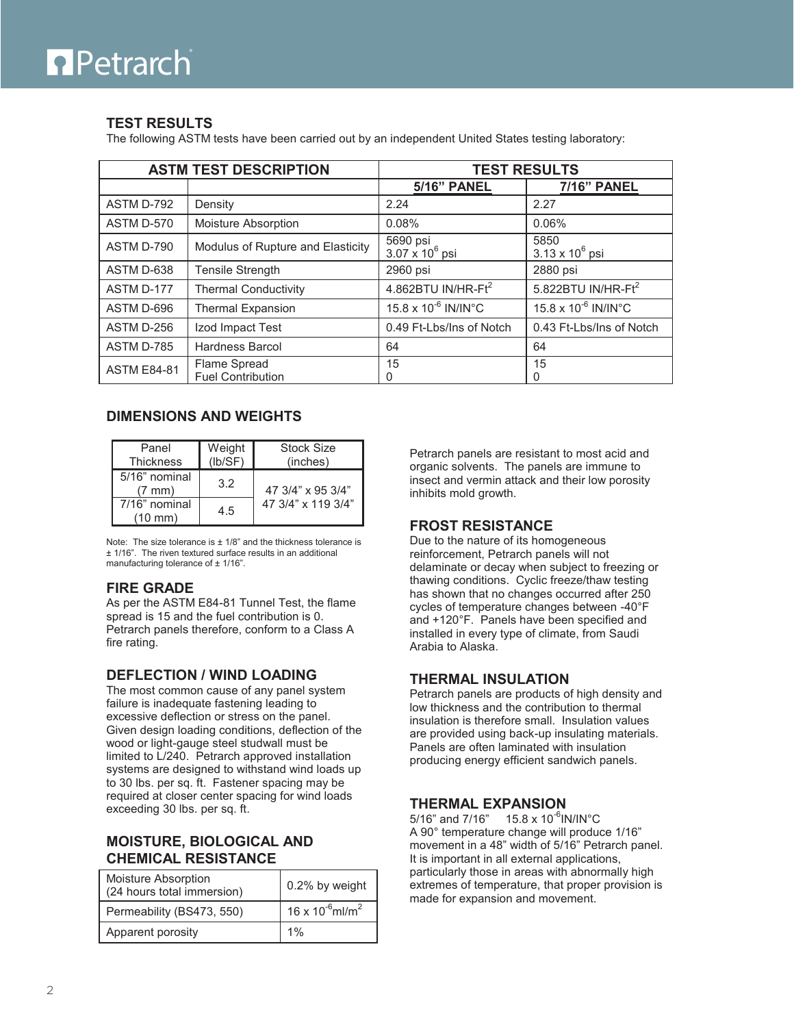# **Petrarch**

## **TEST RESULTS**

The following ASTM tests have been carried out by an independent United States testing laboratory:

| <b>ASTM TEST DESCRIPTION</b> |                                          | <b>TEST RESULTS</b>                |                                 |
|------------------------------|------------------------------------------|------------------------------------|---------------------------------|
|                              |                                          | <b>5/16" PANEL</b>                 | <b>7/16" PANEL</b>              |
| ASTM D-792                   | Density                                  | 2.24                               | 2.27                            |
| ASTM D-570                   | Moisture Absorption                      | 0.08%                              | 0.06%                           |
| ASTM D-790                   | Modulus of Rupture and Elasticity        | 5690 psi<br>$3.07 \times 10^6$ psi | 5850<br>$3.13 \times 10^6$ psi  |
| ASTM D-638                   | Tensile Strength                         | 2960 psi                           | 2880 psi                        |
| ASTM D-177                   | <b>Thermal Conductivity</b>              | 4.862BTU IN/HR-Ft <sup>2</sup>     | 5.822BTU IN/HR-F $t^2$          |
| ASTM D-696                   | <b>Thermal Expansion</b>                 | 15.8 x 10 <sup>-6</sup> IN/IN°C    | 15.8 x 10 <sup>-6</sup> IN/IN°C |
| ASTM D-256                   | Izod Impact Test                         | 0.49 Ft-Lbs/Ins of Notch           | 0.43 Ft-Lbs/Ins of Notch        |
| ASTM D-785                   | Hardness Barcol                          | 64                                 | 64                              |
| <b>ASTM E84-81</b>           | Flame Spread<br><b>Fuel Contribution</b> | 15<br>O                            | 15<br>0                         |

## **DIMENSIONS AND WEIGHTS**

| Panel<br><b>Thickness</b>            | Weight<br>(Ib/SF) | Stock Size<br>(inches) |
|--------------------------------------|-------------------|------------------------|
| $5/16$ " nominal<br>$(7 \text{ mm})$ | 3.2               | 47 3/4" x 95 3/4"      |
| 7/16" nominal<br>$(10 \text{ mm})$   | 4.5               | 47 3/4" x 119 3/4"     |

Note: The size tolerance is  $\pm$  1/8" and the thickness tolerance is ± 1/16". The riven textured surface results in an additional manufacturing tolerance of ± 1/16".

## **FIRE GRADE**

As per the ASTM E84-81 Tunnel Test, the flame spread is 15 and the fuel contribution is 0. Petrarch panels therefore, conform to a Class A fire rating.

## **DEFLECTION / WIND LOADING**

The most common cause of any panel system failure is inadequate fastening leading to excessive deflection or stress on the panel. Given design loading conditions, deflection of the wood or light-gauge steel studwall must be limited to L/240. Petrarch approved installation systems are designed to withstand wind loads up to 30 lbs. per sq. ft. Fastener spacing may be required at closer center spacing for wind loads exceeding 30 lbs. per sq. ft.

## **MOISTURE, BIOLOGICAL AND CHEMICAL RESISTANCE**

| Moisture Absorption<br>(24 hours total immersion) | 0.2% by weight                   |
|---------------------------------------------------|----------------------------------|
| Permeability (BS473, 550)                         | 16 x $10^{-6}$ ml/m <sup>2</sup> |
| Apparent porosity                                 | 1%                               |

Petrarch panels are resistant to most acid and organic solvents. The panels are immune to insect and vermin attack and their low porosity inhibits mold growth.

## **FROST RESISTANCE**

Due to the nature of its homogeneous reinforcement, Petrarch panels will not delaminate or decay when subject to freezing or thawing conditions. Cyclic freeze/thaw testing has shown that no changes occurred after 250 cycles of temperature changes between -40°F and +120°F. Panels have been specified and installed in every type of climate, from Saudi Arabia to Alaska.

## **THERMAL INSULATION**

Petrarch panels are products of high density and low thickness and the contribution to thermal insulation is therefore small. Insulation values are provided using back-up insulating materials. Panels are often laminated with insulation producing energy efficient sandwich panels.

## **THERMAL EXPANSION**

5/16" and 7/16" 15.8 x 10<sup>-6</sup>IN/IN°C A 90° temperature change will produce 1/16" movement in a 48" width of 5/16" Petrarch panel. It is important in all external applications, particularly those in areas with abnormally high extremes of temperature, that proper provision is made for expansion and movement.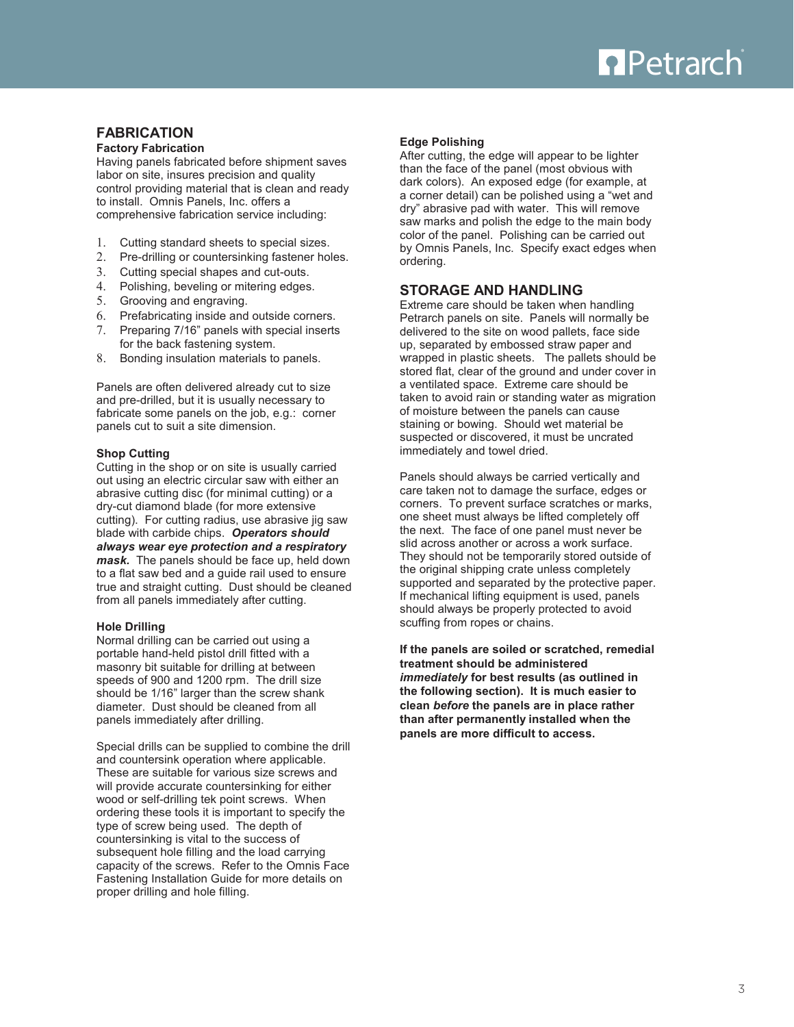

## **FABRICATION**

#### **Factory Fabrication**

Having panels fabricated before shipment saves labor on site, insures precision and quality control providing material that is clean and ready to install. Omnis Panels, Inc. offers a comprehensive fabrication service including:

- 1. Cutting standard sheets to special sizes.
- 2. Pre-drilling or countersinking fastener holes.
- 3. Cutting special shapes and cut-outs.
- 4. Polishing, beveling or mitering edges.
- 5. Grooving and engraving.
- 6. Prefabricating inside and outside corners.
- 7. Preparing 7/16" panels with special inserts for the back fastening system.
- 8. Bonding insulation materials to panels.

Panels are often delivered already cut to size and pre-drilled, but it is usually necessary to fabricate some panels on the job, e.g.: corner panels cut to suit a site dimension.

#### **Shop Cutting**

Cutting in the shop or on site is usually carried out using an electric circular saw with either an abrasive cutting disc (for minimal cutting) or a dry-cut diamond blade (for more extensive cutting). For cutting radius, use abrasive jig saw blade with carbide chips. *Operators should always wear eye protection and a respiratory mask.* The panels should be face up, held down to a flat saw bed and a guide rail used to ensure true and straight cutting. Dust should be cleaned from all panels immediately after cutting.

#### **Hole Drilling**

Normal drilling can be carried out using a portable hand-held pistol drill fitted with a masonry bit suitable for drilling at between speeds of 900 and 1200 rpm. The drill size should be 1/16" larger than the screw shank diameter. Dust should be cleaned from all panels immediately after drilling.

Special drills can be supplied to combine the drill and countersink operation where applicable. These are suitable for various size screws and will provide accurate countersinking for either wood or self-drilling tek point screws. When ordering these tools it is important to specify the type of screw being used. The depth of countersinking is vital to the success of subsequent hole filling and the load carrying capacity of the screws. Refer to the Omnis Face Fastening Installation Guide for more details on proper drilling and hole filling.

#### **Edge Polishing**

After cutting, the edge will appear to be lighter than the face of the panel (most obvious with dark colors). An exposed edge (for example, at a corner detail) can be polished using a "wet and dry" abrasive pad with water. This will remove saw marks and polish the edge to the main body color of the panel. Polishing can be carried out by Omnis Panels, Inc. Specify exact edges when ordering.

#### **STORAGE AND HANDLING**

Extreme care should be taken when handling Petrarch panels on site. Panels will normally be delivered to the site on wood pallets, face side up, separated by embossed straw paper and wrapped in plastic sheets. The pallets should be stored flat, clear of the ground and under cover in a ventilated space. Extreme care should be taken to avoid rain or standing water as migration of moisture between the panels can cause staining or bowing. Should wet material be suspected or discovered, it must be uncrated immediately and towel dried.

Panels should always be carried vertically and care taken not to damage the surface, edges or corners. To prevent surface scratches or marks, one sheet must always be lifted completely off the next. The face of one panel must never be slid across another or across a work surface. They should not be temporarily stored outside of the original shipping crate unless completely supported and separated by the protective paper. If mechanical lifting equipment is used, panels should always be properly protected to avoid scuffing from ropes or chains.

**If the panels are soiled or scratched, remedial treatment should be administered**  *immediately* **for best results (as outlined in the following section). It is much easier to clean** *before* **the panels are in place rather than after permanently installed when the panels are more difficult to access.**